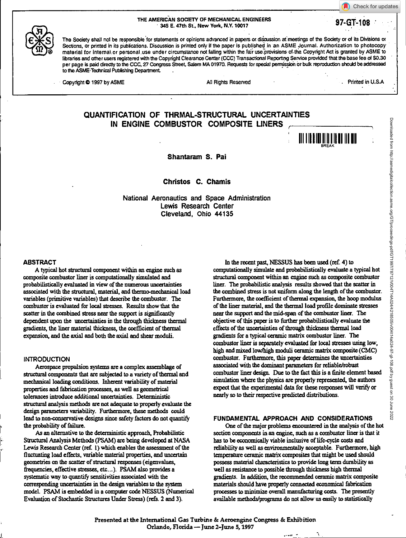THE AMERICAN SOCIETY OF MECHANICAL ENGINEERS 345 E. 47th St, New York, N.Y. 10017 **97-GT-108** 

Check for updates



The Society shall not be responsible for statements or opinions advanced in papers or discussion at meetings of the Society or of its Divisions or Sections, or printed in its publications. Discussion is printed only if the paper is published in an ASME Journal. Authorization to photocopy material for internal or personal use under circumstance not falling within the fair use provisions of the Copyright Act is granted by ASME to libraries and other users registered with the Copyright Clearance Center (CCC) Transactional Reporting Service provided that the base fee of \$0.30 per page is paid directly to the CCC, 27 Congress Street, Salem MA 01970. Requests for special permission or bulk reproduction should be addressed to the ASME Technical Publishing Department.

Copyright © 1997 by ASME All Rights Reserved **All Rights Reserved** . Printed in U.S.A

111 | **|| || ||** || || || || || || || || ||

# **QUANTIFICATION OF THRMAL-STRUCTURAL UNCERTAINTIES IN ENGINE COMBUSTOR COMPOSITE UNERS**

**Shantaram S. Pal** 

**Christos C. Chamis** 

**National Aeronautics and Space Administration Lewis Research Center Cleveland, Ohio 44135** 

#### **ABSTRACT**

A typical hot structural component within an engine such as composite combustor liner is computationally simulated and probabilistically evaluated in **view** of the numerous uncertainties associated with the structural, material, and thermo-mechanical load variables (primitive variables) that describe the combustor. The combustor is evaluated for local stresses. Results show that the scatter in the combined stress near the support is significantly dependent upon the uncertainties in the through thickness thermal gradients, the liner material thickness, the coefficient of thermal expansion, and the axial and both the axial and shear moduli.

# **INTRODUCTION**

Aerospace propulsion systems are a complex assemblage of structural components that are subjected to a variety of thermal and mechanical loading conditions. Inherent variability of material properties and fabrication processes, as well as geometrical tolerances introduce additional uncertainties. Deterministic structural analysis methods are not adequate to properly evaluate the design parameters variability. Furthermore, these methods could lead to non-conservative designs since safety factors do not quantify the probability of failure.

As an alternative to the deterministic approach, Probabilistic Structural Analysis Methods (PSAM) are being developed at NASA Lewis Research Center (ref. 1) which enables the assessment of the fluctuating load effects, variable material properties, and uncertain geometries on the scatter of structural responses (eigenvalues, frequencies, effective stresses, etc...). PSAM also provides a systematic way to quantify sensitivities associated with the corresponding uncertainties in the design variables to the system model. PSAM is embedded in a computer code NESSUS (Numerical Evaluation of Stochastic Structures Under Stress) (refs. 2 and 3).

In the recent past, NESSUS has been used (ref. 4) to computationally simulate and probabilistically evaluate a typical hot structural component within an engine such as composite combustor liner. The probabilistic analysis results showed that the scatter in the combined stress is not uniform along the length of the combustor. Furthermore, the coefficient of thermal expansion, the hoop modulus of the liner material, and the thermal load profile dominate stresses near the support and the mid-span of the combustor liner. The objective of this paper is to further probabilistically evaluate the effects of the uncertainties of through thickness thermal load gradients for a typical ceramic matrix combustor liner. The combustor liner is separately evaluated for local stresses using low, high and mixed low/high moduli ceramic matrix composite (CMC) combustor. Furthermore, this paper determines the uncertainties associated with the dominant parameters for reliable/robust combustor liner design. Due to the fact this is a finite element based simulation where the physics are properly represented, the authors expect that the experimental data for these responses will verify or nearly so to their respective predicted distributions.

#### **FUNDAMENTAL APPROACH AND CONSIDERATIONS**

One of the major problems encountered in the analysis of the hot section components in an engine, such as a combustor liner is that it has to be economically viable inclusive of life-cycle costs and reliability as well as environmentally acceptable. Furthermore, high temperature ceramic matrix composites that might be used should possess material characteristics to provide long term durability as well as resistance to possible through thickness high thermal gradients. In addition, the recommended ceramic matrix composite materials should have properly connected economical fabrication processes to minimize overall manufacturing costs. The presently available methods/programs do not allow us easily to statistically

Presented at the International Gas Turbine & Aeroengine Congress & Exhibition Orlando, Florida — June 2-June 5, 1997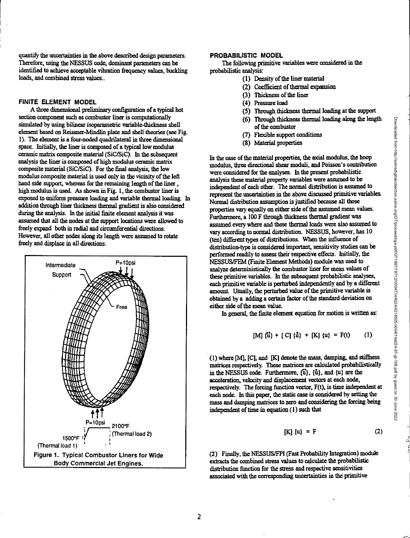quantify the uncertainties in the above described design parameters. Therefore, using the NESSUS code, dominant parameters can be identified to achieve acceptable vibration frequency values, buckling loads, and combined stress values..

# FINITE ELEMENT MODEL

A three dimensional preliminary configuration of a typical hot section component such as combustor liner is computationally simulated by using bilinear isoparametric variable-thickness shell element based on Reissner-Mindlin plate and shell theories (see Fig. 1). The element is a four-noded quadrilateral in three dimensional space. Initially, the liner is composed of a typical low modulus ceramic matrix composite material (SiC/SiC). In the subsequent analysis the liner is composed of high modulus ceramic matrix composite material (SiC/SiC). For the final analysis, the low modulus composite material is used only in the vicinity of the left hand side support, whereas for the remaining length of the liner, high modulus is used. As shown in Fig. 1, the combustor liner is exposed to uniform pressure loading and variable thermal loading. In addition through liner thickness thermal gradient is also considered during the analysis. In the initial finite element analysis it was assumed that all the nodes at the support locations were allowed to freely expand both in radial and circumferential directions. However, all other nodes along its length were assumed to rotate freely and displace in all directions.



#### PROBABILISTIC MODEL

The following primitive variables were considered in the probabilistic analysis:

- (1) Density of the liner material
- (2) Coefficient of thermal expansion
- (3) Thickness of the liner
- (4) Pressure load
- (5) Through thickness thermal loading at the support
- (6) Through thickness thermal loading along the length of the combustor
- (7) Flexible support conditions
- (8) Material properties

In the case of the material properties, the axial modulus, the hoop modulus, three directional shear moduli, and Poisson's contribution were considered for the analyses. In the present probabilistic analysis these material property variables were assumed to be independent of each other. The normal distribution is assumed to represent the uncertainties in the above discussed primitive variables. Normal distribution assumption is justified because all those properties vary equally on either side of the assumed mean values. Furthermore, a 100 F through thickness thermal gradient was assumed every where and these thermal loads were also assumed to vary according to normal distribution. NESSUS, however, has 10 (ten) different types of distributions. When the influence of distribution-type is considered important, sensitivity studies can be performed readily to assess their respective effects. Initially, the NESSUS/FEM (Finite Element Methods) module was used to analyze deterministically the combustor liner for mean values of these primitive variables. In the subsequent probabilistic analyses, each primitive variable is perturbed independently and by a different amount Usually, the perturbed value of the primitive variable is obtained by a adding a certain factor of the standard deviation on either side of the mean value.

In general, the finite element equation for motion is written as:

[M] 
$$
\{\mathbf{\hat{u}}\} + [C] \{\mathbf{\hat{u}}\} + [K] \{\mathbf{u}\} = F(\mathbf{t})
$$
 (1)

(1) where [M], [Cl, and [K] denote the mass, damping, and stiffness matrices respectively. These matrices are calculated probabilistically in the NESSUS code. Furthermore,  $\{\mathbf{u}\}$ ,  $\{\mathbf{u}\}$ , and  $\{\mathbf{u}\}$  are the acceleration, velocity and displacement vectors at each node, respectively. The forcing function vector, F(t), is time independent at each node. In this paper, the static case is considered by setting the mass and damping matrices to zero and considering the forcing being independent of time in equation (1) such that

$$
[K] \{u\} = F \tag{2}
$$

(2) Finally, the NESSUS/FPI (Fast Probability Integration) module extracts the combined stress values to calculate the probabilistic distribution function for the stress and respective sensitivities associated with the corresponding uncertainties in the primitive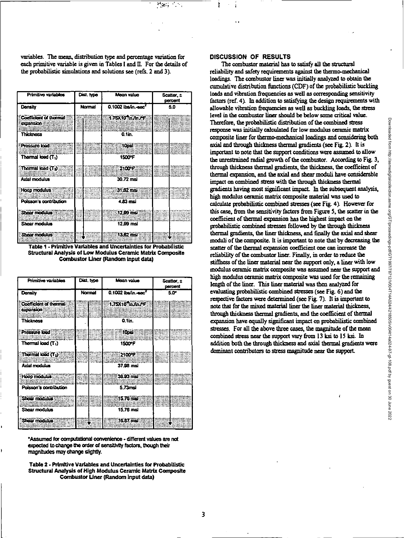inger,

variables. The mean, distribution type and percentage variation for each primitive variable is given in Tables I and II. For the details of the probabilistic simulations and solutions see (refs. 2 and 3).

| Primitivo variables                              | Dist. type    | Mean value                      | Scatter, ±<br>percent |
|--------------------------------------------------|---------------|---------------------------------|-----------------------|
| Donsity                                          | <b>Normal</b> | 0.1002 Ibs/in.-soc <sup>7</sup> | 5.0                   |
| Confliciont of thormal<br>copansion<br>Thicknoss |               | 1.75X10 In Jul 29<br>0.1in.     |                       |
| Prossure load<br>Thormal lood (T <sub>1</sub> )  |               | :10pd<br>1500°F                 |                       |
| Thormal load (T1)<br>Axial modulus               |               | 2100°F<br>30.72 mai             |                       |
| <b>Hoop modulus</b><br>Poisson's contribution    |               | $31.62$ meV<br>4.83 msi         |                       |
| Shoor modulus<br>Shear modulus                   |               | 12.99 ms)<br>12.99 msi          |                       |
| Shoor modulus                                    |               | $13.62 \text{ m}$               |                       |

Table 1 - Primitive Variables and Uncertainties for Probabilistic Structural Analysis of Low Modulus Ceramic Matrix Composite Combustor Liner (Random input data)

| Primitive variables                             | Dist. type | Mean value                                  | Scatter, ± |
|-------------------------------------------------|------------|---------------------------------------------|------------|
|                                                 |            |                                             | percent    |
| Density                                         | Normal     | $0.1002$ (ba/in. eec <sup>2</sup>           | 5.0        |
| Coefficient of thermal<br>oxpannon<br>Thicknoss |            | 1.75X10 in fin FF<br>0.1in.                 |            |
| Pressure load<br>Thormal load (T <sub>1</sub> ) |            | 810nsi<br><b>1500°F</b>                     |            |
| Thormal lood $(\tau_2)$<br>Axial modulus        |            | <b><i><u>SHE2100TH</u></i></b><br>37.98 msi |            |
| <b>Hoop modulus</b><br>Poisson's contribution   |            | 38.93 mai<br>5.73msi                        |            |
| Show modulus<br>Shear modulus                   |            | $15.76$ mar<br>15.76 msi                    |            |
| Show modulus                                    |            | 16.87 mai                                   |            |

\*Assumed for computational convenience - different values are not expected to change the order of sensitivity factors, though their magnitudes may change slightly.

Table 2 - Primitive Variables and Uncertainties for Probabilistic Structural Analysis of High Modulus Ceramic Matrix Composite Combustor Liner (Random Input data)

### **DISCUSSION OF RESULTS**

The combustor material has to satisfy all the structural reliability and safety requirements against the thermo-mechanical loadings. The combustor liner was initially analyzed to obtain the cumulative distribution functions (CDF) of the probabilistic buckling loads and vibration frequencies as well as corresponding sensitivity factors (ref. 4). In addition to satisfying the design requirements with allowable vibration frequencies as well as buckling loads, the stress level in the combustor liner should be below some critical value. Therefore, the probabilistic distribution of the combined stress response was initially calculated for low modulus ceramic matrix composite liner for thermo-mechanical loadings and considering both axial and through thickness thermal gradients (see Fig. 2). It is important to note that the support conditions were assumed to allow the unrestrained radial growth of the combustor. According to Fig. 3, through thickness thermal gradients, the thickness, the coefficient of thermal expansion, and the axial and shear moduli have considerable impact on combined stress with the through thickness thermal gradients having most significant impact. In the subsequent analysis, high modulus ceramic matrix composite material was used to calculate probabilistic combined stresses (see Fig. 4). However for this case, from the sensitivity factors from Figure 5, the scatter in the coefficient of thermal expansion has the highest impact on the probabilistic combined stresses followed by the through thickness thermal gradients, the liner thickness, and finally the axial and shear moduli of the composite. It is important to note that by decreasing the scatter of the thermal expansion coefficient one can increase the reliability of the combustor liner. Finally, in order to reduce the stiffness of the liner material near the support only, a liner with low modulus ceramic matrix composite was assumed near the support and high modulus ceramic matrix composite was used for the remaining length of the liner. This liner material was then analyzed for evaluating probabilistic combined stresses (see Fig. 6) and the respective factors were determined (see Fig. 7). It is important to note that for the mixed material liner the liner material thickness, through thickness thermal gradients, and the coefficient of thermal expansion have equally significant impact on probabilistic combined stresses. For all the above three cases, the magnitude of the mean combined stress near the support vary from 13 ksi to 15 ksi. In addition both the through thickness and axial thermal gradients were dominant contributors to stress magnitude near the support.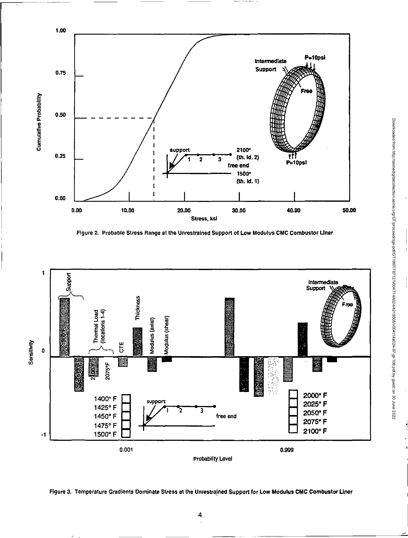

Figure 2. Probable Stress Range at the Unrestrained Support of Low Modulus CMC Combustor Liner





4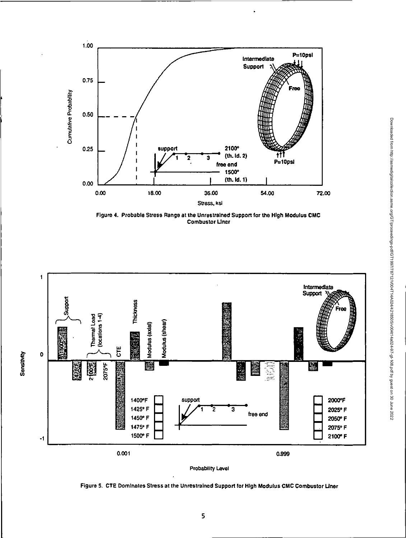

Figure 4. Probable Stress Range at the Unrestrained Support tor the High Modulus CMC Combustor Liner



Probability Level

Figure 5. CIE Dominates Stress at the Unrestrained Support for High Modulus CMC Combustor Liner

Downloaded from http://asmedigitalcollection.asme.org/GT/proceedings-pdf/GT1997/78712/V004T14A024/4218505/v004t14a024-97-gt-108.pdf by guest on 30 June 2022

Downloaded from http://asmediglialcolion.asme.org/GT/proceedings-pdf/GT1997/12/10041740244218505/v00414a024-97-108.pdf by guest on 30 June 2022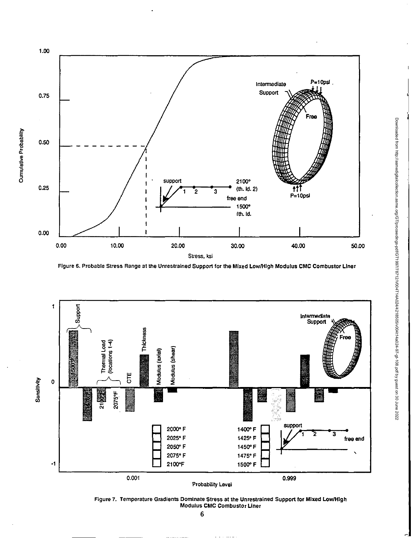

Figure 6. Probable Stress Range at the Unrestrained Support for the Mixed Low/High Modulus CMC Combustor Liner



Figure 7. Temperature Gradients Dominate Stress at the Unrestrained Support for Mixed Low/High<br>Modulus CMC Combustor Liner